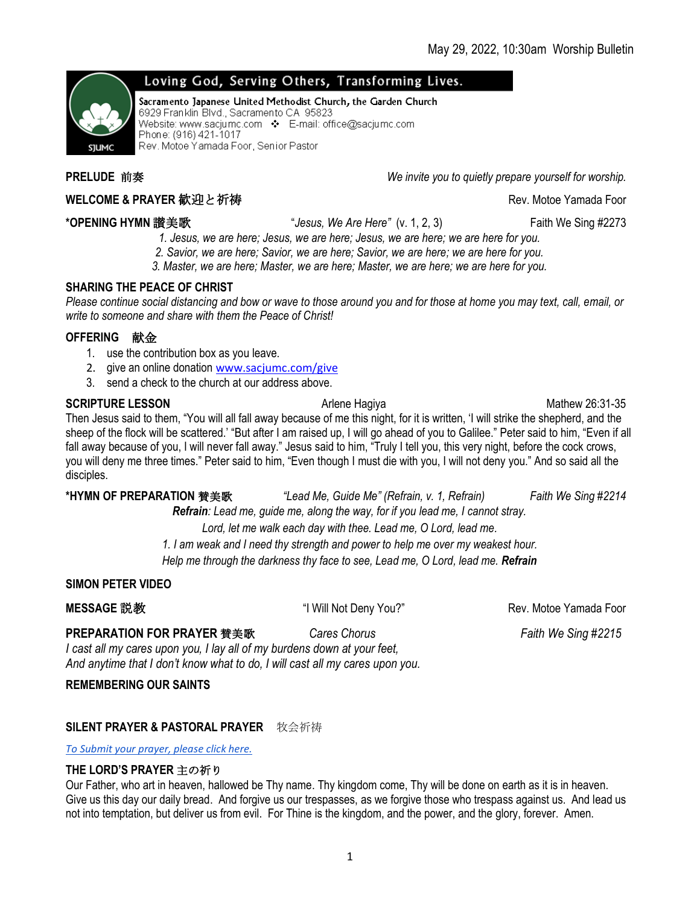# Loving God, Serving Others, Transforming Lives.

Sacramento Japanese United Methodist Church, the Garden Church 6929 Franklin Blvd., Sacramento CA 95823 Website: www.sacjumc.com : E-mail: office@sacjumc.com Phone: (916) 421-1017 Rev. Motoe Yamada Foor, Senior Pastor

**PRELUDE** 前奏 *We invite you to quietly prepare yourself for worship.*

**WELCOME & PRAYER** 歓迎と祈祷

**\*OPENING HYMN** 讃美歌"*Jesus, We Are Here"* (v. 1, 2, 3) Faith We Sing #2273

*1. Jesus, we are here; Jesus, we are here; Jesus, we are here; we are here for you.*

*2. Savior, we are here; Savior, we are here; Savior, we are here; we are here for you.*

*3. Master, we are here; Master, we are here; Master, we are here; we are here for you.*

## **SHARING THE PEACE OF CHRIST**

*Please continue social distancing and bow or wave to those around you and for those at home you may text, call, email, or write to someone and share with them the Peace of Christ!*

## **OFFERING** 献金

- 1. use the contribution box as you leave.
- 2. give an online donation [www.sacjumc.com/give](http://www.sacjumc.com/give)
- 3. send a check to the church at our address above.

### **SCRIPTURE LESSON CONSUMING A REAL ALGEBRISH Arlene Hagiva** Mathew 26:31-35

Then Jesus said to them, "You will all fall away because of me this night, for it is written, 'I will strike the shepherd, and the sheep of the flock will be scattered.' "But after I am raised up, I will go ahead of you to Galilee." Peter said to him, "Even if all fall away because of you, I will never fall away." Jesus said to him, "Truly I tell you, this very night, before the cock crows, you will deny me three times." Peter said to him, "Even though I must die with you, I will not deny you." And so said all the disciples.

#### **\*HYMN OF PREPARATION** 賛美歌*"Lead Me, Guide Me" (Refrain, v. 1, Refrain) Faith We Sing #2214*

*Refrain: Lead me, guide me, along the way, for if you lead me, I cannot stray.*

*Lord, let me walk each day with thee. Lead me, O Lord, lead me. 1. I am weak and I need thy strength and power to help me over my weakest hour.* 

*Help me through the darkness thy face to see, Lead me, O Lord, lead me. Refrain*

## **SIMON PETER VIDEO**

**MESSAGE** 説教"I Will Not Deny You?" Rev. Motoe Yamada Foor

### **PREPARATION FOR PRAYER** 賛美歌*Cares Chorus Faith We Sing #2215*

*I cast all my cares upon you, I lay all of my burdens down at your feet, And anytime that I don't know what to do, I will cast all my cares upon you.*

**REMEMBERING OUR SAINTS** 

# **SILENT PRAYER & PASTORAL PRAYER** 牧会祈祷

*[To Submit your prayer, please click here.](https://thegardenchurch.aware3.net/form/uZPj8cWFU)*

# **THE LORD'S PRAYER** 主の祈り

Our Father, who art in heaven, hallowed be Thy name. Thy kingdom come, Thy will be done on earth as it is in heaven. Give us this day our daily bread. And forgive us our trespasses, as we forgive those who trespass against us. And lead us not into temptation, but deliver us from evil. For Thine is the kingdom, and the power, and the glory, forever. Amen.